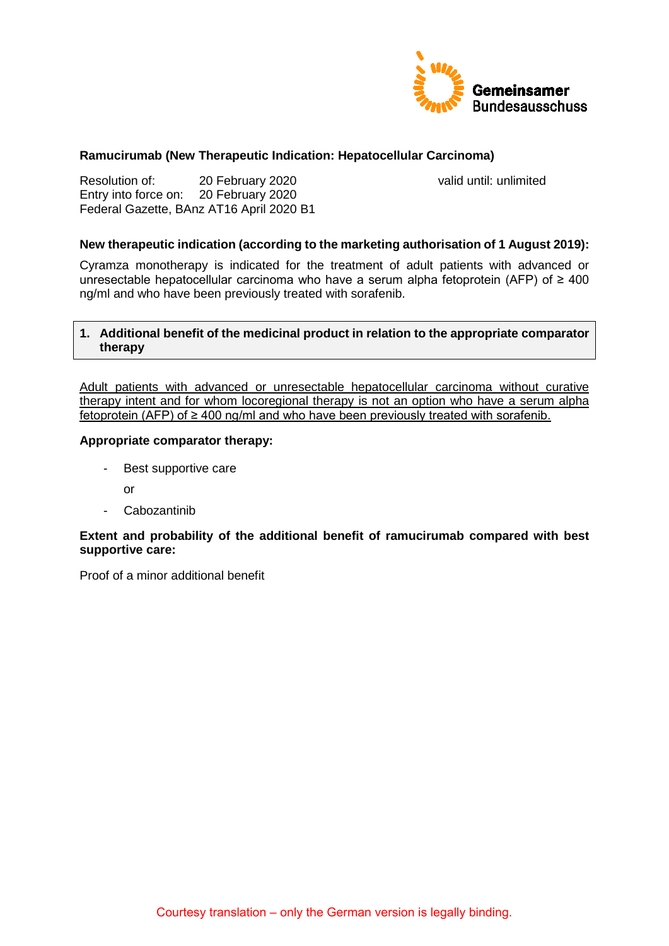

### **Ramucirumab (New Therapeutic Indication: Hepatocellular Carcinoma)**

Resolution of: 20 February 2020 valid until: unlimited Entry into force on: 20 February 2020 Federal Gazette, BAnz AT16 April 2020 B1

### **New therapeutic indication (according to the marketing authorisation of 1 August 2019):**

Cyramza monotherapy is indicated for the treatment of adult patients with advanced or unresectable hepatocellular carcinoma who have a serum alpha fetoprotein (AFP) of ≥ 400 ng/ml and who have been previously treated with sorafenib.

### **1. Additional benefit of the medicinal product in relation to the appropriate comparator therapy**

Adult patients with advanced or unresectable hepatocellular carcinoma without curative therapy intent and for whom locoregional therapy is not an option who have a serum alpha fetoprotein (AFP) of ≥ 400 ng/ml and who have been previously treated with sorafenib.

#### **Appropriate comparator therapy:**

- Best supportive care
	- or
- Cabozantinib

### **Extent and probability of the additional benefit of ramucirumab compared with best supportive care:**

Proof of a minor additional benefit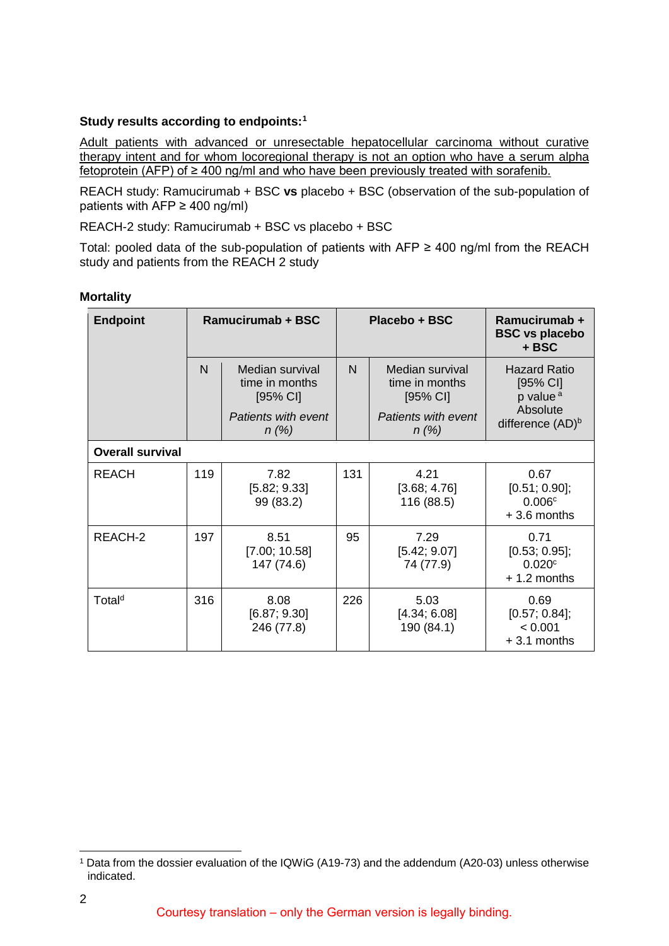### **Study results according to endpoints[:1](#page-1-0)**

Adult patients with advanced or unresectable hepatocellular carcinoma without curative therapy intent and for whom locoregional therapy is not an option who have a serum alpha fetoprotein (AFP) of ≥ 400 ng/ml and who have been previously treated with sorafenib.

REACH study: Ramucirumab + BSC **vs** placebo + BSC (observation of the sub-population of patients with  $AFP \ge 400$  ng/ml)

REACH-2 study: Ramucirumab + BSC vs placebo + BSC

Total: pooled data of the sub-population of patients with AFP  $\geq$  400 ng/ml from the REACH study and patients from the REACH 2 study

### **Mortality**

| <b>Endpoint</b>         | Ramucirumab + BSC |                                               | Placebo + BSC |                                               | Ramucirumab +<br><b>BSC vs placebo</b><br>+ BSC           |  |
|-------------------------|-------------------|-----------------------------------------------|---------------|-----------------------------------------------|-----------------------------------------------------------|--|
|                         | $\mathsf{N}$      | Median survival<br>time in months<br>[95% CI] | N             | Median survival<br>time in months<br>[95% CI] | <b>Hazard Ratio</b><br>$[95%$ CI]<br>p value <sup>a</sup> |  |
|                         |                   | Patients with event<br>$n(\%)$                |               | Patients with event<br>$n(\%)$                | Absolute<br>difference (AD) <sup>b</sup>                  |  |
| <b>Overall survival</b> |                   |                                               |               |                                               |                                                           |  |
| <b>REACH</b>            | 119               | 7.82<br>[5.82; 9.33]<br>99 (83.2)             | 131           | 4.21<br>[3.68; 4.76]<br>116 (88.5)            | 0.67<br>[0.51; 0.90];<br>0.006c<br>$+3.6$ months          |  |
| REACH-2                 | 197               | 8.51<br>[7.00; 10.58]<br>147 (74.6)           | 95            | 7.29<br>[5.42; 9.07]<br>74 (77.9)             | 0.71<br>[0.53; 0.95];<br>0.020c<br>$+1.2$ months          |  |
| Total <sup>d</sup>      | 316               | 8.08<br>[6.87; 9.30]<br>246 (77.8)            | 226           | 5.03<br>[4.34; 6.08]<br>190 (84.1)            | 0.69<br>$[0.57; 0.84]$ ;<br>< 0.001<br>$+3.1$ months      |  |

<span id="page-1-0"></span> <sup>1</sup> Data from the dossier evaluation of the IQWiG (A19-73) and the addendum (A20-03) unless otherwise indicated.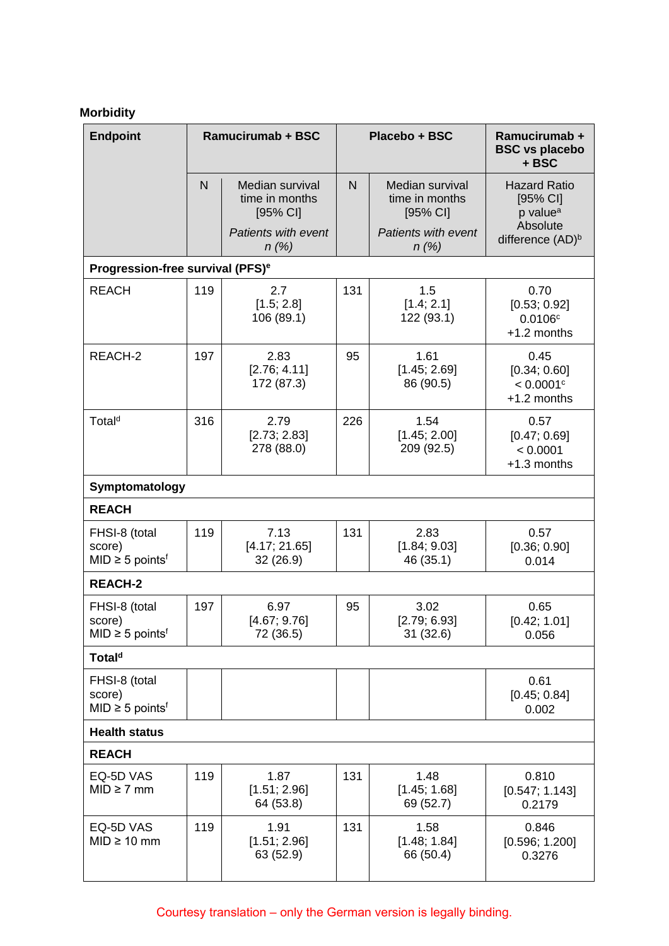## **Morbidity**

| <b>Endpoint</b>                                             |     | <b>Ramucirumab + BSC</b>                      |                | Placebo + BSC                                 | Ramucirumab +<br><b>BSC vs placebo</b><br>+ BSC                |
|-------------------------------------------------------------|-----|-----------------------------------------------|----------------|-----------------------------------------------|----------------------------------------------------------------|
|                                                             | N   | Median survival<br>time in months<br>[95% CI] | $\overline{N}$ | Median survival<br>time in months<br>[95% CI] | <b>Hazard Ratio</b><br>[95% CI]<br>p value <sup>a</sup>        |
|                                                             |     | <b>Patients with event</b><br>$n$ (%)         |                | Patients with event<br>$n(\%)$                | Absolute<br>difference (AD) <sup>b</sup>                       |
| Progression-free survival (PFS) <sup>e</sup>                |     |                                               |                |                                               |                                                                |
| <b>REACH</b>                                                | 119 | 2.7<br>[1.5; 2.8]<br>106(89.1)                | 131            | 1.5<br>[1.4; 2.1]<br>122 (93.1)               | 0.70<br>[0.53; 0.92]<br>0.0106c<br>+1.2 months                 |
| REACH-2                                                     | 197 | 2.83<br>[2.76; 4.11]<br>172 (87.3)            | 95             | 1.61<br>[1.45; 2.69]<br>86 (90.5)             | 0.45<br>[0.34; 0.60]<br>$< 0.0001$ <sup>c</sup><br>+1.2 months |
| Total <sup>d</sup>                                          | 316 | 2.79<br>[2.73; 2.83]<br>278 (88.0)            | 226            | 1.54<br>[1.45; 2.00]<br>209 (92.5)            | 0.57<br>[0.47; 0.69]<br>< 0.0001<br>+1.3 months                |
| Symptomatology                                              |     |                                               |                |                                               |                                                                |
| <b>REACH</b>                                                |     |                                               |                |                                               |                                                                |
| FHSI-8 (total<br>score)<br>$MID \geq 5$ points <sup>f</sup> | 119 | 7.13<br>[4.17; 21.65]<br>32 (26.9)            | 131            | 2.83<br>[1.84; 9.03]<br>46 (35.1)             | 0.57<br>[0.36; 0.90]<br>0.014                                  |
| <b>REACH-2</b>                                              |     |                                               |                |                                               |                                                                |
| FHSI-8 (total<br>score)<br>$MID \geq 5$ points <sup>f</sup> | 197 | 6.97<br>[4.67; 9.76]<br>72 (36.5)             | 95             | 3.02<br>[2.79; 6.93]<br>31(32.6)              | 0.65<br>[0.42; 1.01]<br>0.056                                  |
| Total <sup>d</sup>                                          |     |                                               |                |                                               |                                                                |
| FHSI-8 (total<br>score)<br>$MID \geq 5$ points <sup>f</sup> |     |                                               |                |                                               | 0.61<br>[0.45; 0.84]<br>0.002                                  |
| <b>Health status</b>                                        |     |                                               |                |                                               |                                                                |
| <b>REACH</b>                                                |     |                                               |                |                                               |                                                                |
| EQ-5D VAS<br>$MID \geq 7$ mm                                | 119 | 1.87<br>[1.51; 2.96]<br>64 (53.8)             | 131            | 1.48<br>[1.45; 1.68]<br>69 (52.7)             | 0.810<br>[0.547; 1.143]<br>0.2179                              |
| EQ-5D VAS<br>$MID \geq 10$ mm                               | 119 | 1.91<br>[1.51; 2.96]<br>63 (52.9)             | 131            | 1.58<br>[1.48; 1.84]<br>66 (50.4)             | 0.846<br>[0.596; 1.200]<br>0.3276                              |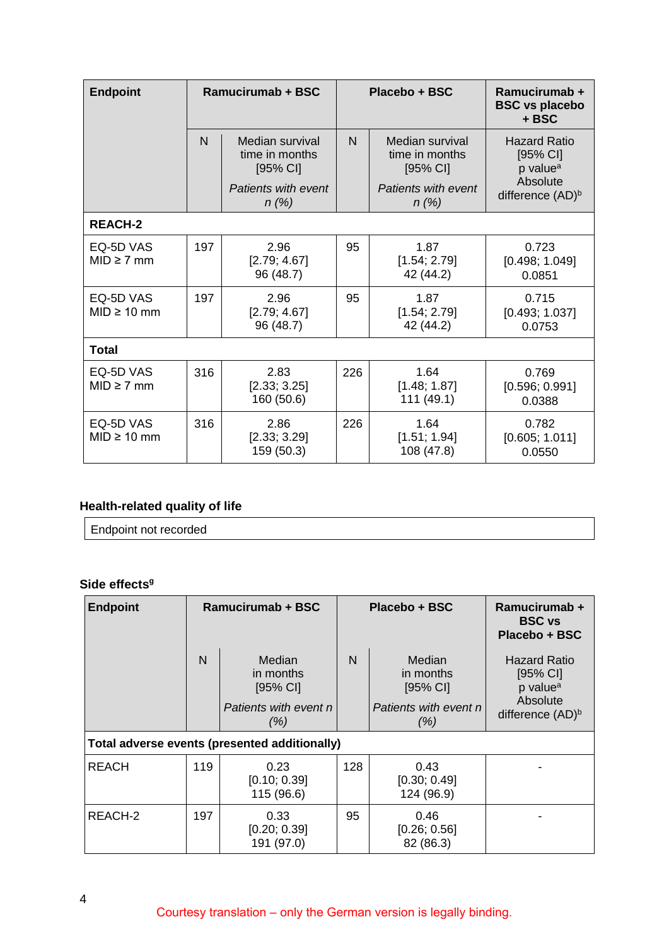| <b>Endpoint</b>               | <b>Ramucirumab + BSC</b> |                                               | Placebo + BSC |                                               | Ramucirumab +<br><b>BSC vs placebo</b><br>+ BSC         |
|-------------------------------|--------------------------|-----------------------------------------------|---------------|-----------------------------------------------|---------------------------------------------------------|
|                               | N                        | Median survival<br>time in months<br>[95% CI] | $\mathsf{N}$  | Median survival<br>time in months<br>[95% CI] | <b>Hazard Ratio</b><br>[95% CI]<br>p value <sup>a</sup> |
|                               |                          | Patients with event<br>n(%)                   |               | Patients with event<br>n(%)                   | Absolute<br>difference (AD) <sup>b</sup>                |
| <b>REACH-2</b>                |                          |                                               |               |                                               |                                                         |
| EQ-5D VAS<br>$MID \geq 7$ mm  | 197                      | 2.96<br>[2.79; 4.67]<br>96 (48.7)             | 95            | 1.87<br>[1.54; 2.79]<br>42 (44.2)             | 0.723<br>[0.498; 1.049]<br>0.0851                       |
| EQ-5D VAS<br>$MID \geq 10$ mm | 197                      | 2.96<br>[2.79; 4.67]<br>96 (48.7)             |               | 1.87<br>[1.54; 2.79]<br>42 (44.2)             | 0.715<br>[0.493; 1.037]<br>0.0753                       |
| Total                         |                          |                                               |               |                                               |                                                         |
| EQ-5D VAS<br>$MID \geq 7$ mm  | 316                      | 2.83<br>[2.33; 3.25]<br>160 (50.6)            | 226           | 1.64<br>[1.48; 1.87]<br>111(49.1)             | 0.769<br>[0.596; 0.991]<br>0.0388                       |
| EQ-5D VAS<br>$MID \geq 10$ mm | 316                      | 2.86<br>[2.33; 3.29]<br>159 (50.3)            | 226           | 1.64<br>[1.51; 1.94]<br>108 (47.8)            | 0.782<br>[0.605; 1.011]<br>0.0550                       |

# **Health-related quality of life**

Endpoint not recorded

### Side effects<sup>9</sup>

| <b>Endpoint</b> | Ramucirumab + BSC                         |                                                                    | Placebo + BSC |                                                                  | Ramucirumab +<br><b>BSC</b> vs<br>Placebo + BSC                                                       |
|-----------------|-------------------------------------------|--------------------------------------------------------------------|---------------|------------------------------------------------------------------|-------------------------------------------------------------------------------------------------------|
|                 | N                                         | Median<br>in months<br>$[95%$ CI]<br>Patients with event n<br>(% ) | $\mathsf{N}$  | Median<br>in months<br>[95% CI]<br>Patients with event n<br>(% ) | <b>Hazard Ratio</b><br>$[95%$ CI]<br>p value <sup>a</sup><br>Absolute<br>difference (AD) <sup>b</sup> |
|                 |                                           | Total adverse events (presented additionally)                      |               |                                                                  |                                                                                                       |
| <b>REACH</b>    | 119<br>0.23<br>[0.10; 0.39]<br>115 (96.6) |                                                                    | 128           | 0.43<br>[0.30; 0.49]<br>124 (96.9)                               |                                                                                                       |
| REACH-2         | 197                                       | 0.33<br>[0.20; 0.39]<br>191 (97.0)                                 | 95            | 0.46<br>[0.26; 0.56]<br>82 (86.3)                                |                                                                                                       |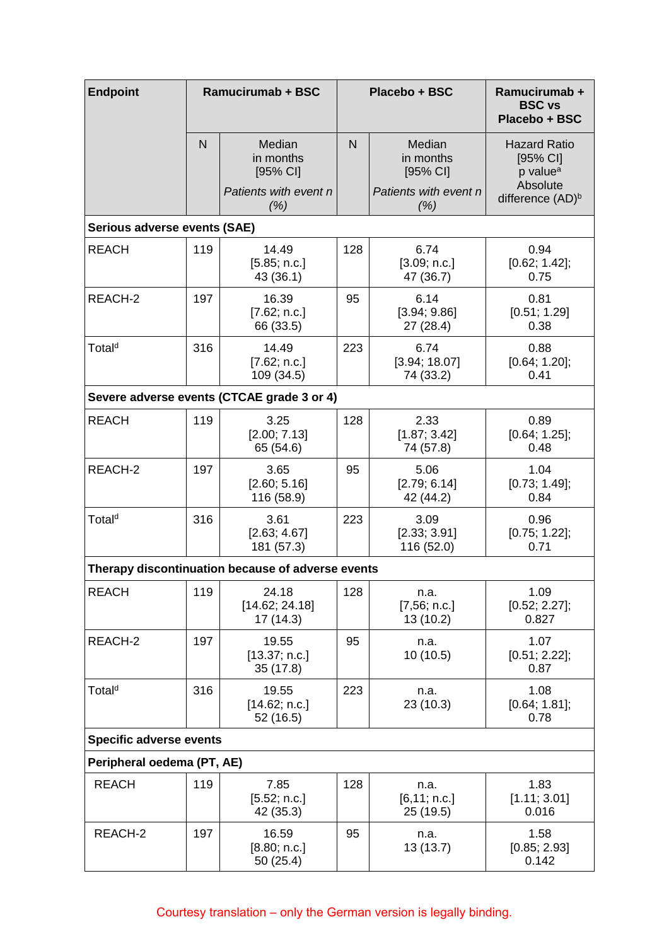| <b>Endpoint</b>                            |                                                                                      | <b>Ramucirumab + BSC</b>                                           |                                           | Placebo + BSC                                                      | Ramucirumab +<br><b>BSC vs</b><br>Placebo + BSC                                                     |  |
|--------------------------------------------|--------------------------------------------------------------------------------------|--------------------------------------------------------------------|-------------------------------------------|--------------------------------------------------------------------|-----------------------------------------------------------------------------------------------------|--|
|                                            | N                                                                                    | Median<br>in months<br>$[95%$ CI]<br>Patients with event n<br>(% ) | N                                         | Median<br>in months<br>$[95%$ CI]<br>Patients with event n<br>(% ) | <b>Hazard Ratio</b><br>[95% CI]<br>p value <sup>a</sup><br>Absolute<br>difference (AD) <sup>b</sup> |  |
| Serious adverse events (SAE)               |                                                                                      |                                                                    |                                           |                                                                    |                                                                                                     |  |
| <b>REACH</b>                               | 119                                                                                  | 14.49<br>[5.85; n.c.]<br>43 (36.1)                                 | 128                                       | 6.74<br>[3.09; n.c.]<br>47 (36.7)                                  | 0.94<br>[0.62; 1.42];<br>0.75                                                                       |  |
| REACH-2                                    | 197                                                                                  | 16.39<br>[7.62; n.c.]<br>66 (33.5)                                 | 95                                        | 6.14<br>[3.94; 9.86]<br>27 (28.4)                                  | 0.81<br>[0.51; 1.29]<br>0.38                                                                        |  |
| Total <sup>d</sup>                         | 316                                                                                  | 14.49<br>[7.62; n.c.]<br>109 (34.5)                                | 223                                       | 6.74<br>[3.94; 18.07]<br>74 (33.2)                                 | 0.88<br>$[0.64; 1.20]$ ;<br>0.41                                                                    |  |
| Severe adverse events (CTCAE grade 3 or 4) |                                                                                      |                                                                    |                                           |                                                                    |                                                                                                     |  |
| <b>REACH</b>                               | 119                                                                                  | 3.25<br>[2.00; 7.13]<br>65 (54.6)                                  | 128                                       | 2.33<br>[1.87; 3.42]<br>74 (57.8)                                  | 0.89<br>$[0.64; 1.25]$ ;<br>0.48                                                                    |  |
| REACH-2                                    | 197<br>3.65<br>95<br>5.06<br>[2.60; 5.16]<br>[2.79; 6.14]<br>116 (58.9)<br>42 (44.2) |                                                                    | 1.04<br>[0.73; 1.49];<br>0.84             |                                                                    |                                                                                                     |  |
| Total <sup>d</sup>                         | 316                                                                                  | 3.61<br>[2.63; 4.67]<br>181 (57.3)                                 | 223<br>3.09<br>[2.33; 3.91]<br>116 (52.0) |                                                                    | 0.96<br>$[0.75; 1.22]$ ;<br>0.71                                                                    |  |
|                                            |                                                                                      | Therapy discontinuation because of adverse events                  |                                           |                                                                    |                                                                                                     |  |
| <b>REACH</b>                               | 119<br>128<br>24.18<br>[14.62; 24.18]<br>17 (14.3)                                   |                                                                    | n.a.<br>[7,56; n.c.]<br>13 (10.2)         | 1.09<br>[0.52; 2.27];<br>0.827                                     |                                                                                                     |  |
| REACH-2                                    | 197                                                                                  | 19.55<br>[13.37; n.c.]<br>35(17.8)                                 | 95                                        | n.a.<br>10 (10.5)                                                  | 1.07<br>$[0.51; 2.22]$ ;<br>0.87                                                                    |  |
| Total <sup>d</sup>                         | 316<br>223<br>19.55<br>n.a.<br>23 (10.3)<br>[14.62; n.c.]<br>52 (16.5)               |                                                                    |                                           | 1.08<br>[0.64; 1.81];<br>0.78                                      |                                                                                                     |  |
| <b>Specific adverse events</b>             |                                                                                      |                                                                    |                                           |                                                                    |                                                                                                     |  |
| Peripheral oedema (PT, AE)                 |                                                                                      |                                                                    |                                           |                                                                    |                                                                                                     |  |
| <b>REACH</b>                               | 119                                                                                  | 7.85<br>[5.52; n.c.]<br>42 (35.3)                                  | 128                                       | n.a.<br>[6, 11; n.c.]<br>25 (19.5)                                 | 1.83<br>[1.11; 3.01]<br>0.016                                                                       |  |
| REACH-2                                    | 197                                                                                  | 16.59<br>[8.80; n.c.]<br>50(25.4)                                  | 95                                        | n.a.<br>13 (13.7)                                                  | 1.58<br>[0.85; 2.93]<br>0.142                                                                       |  |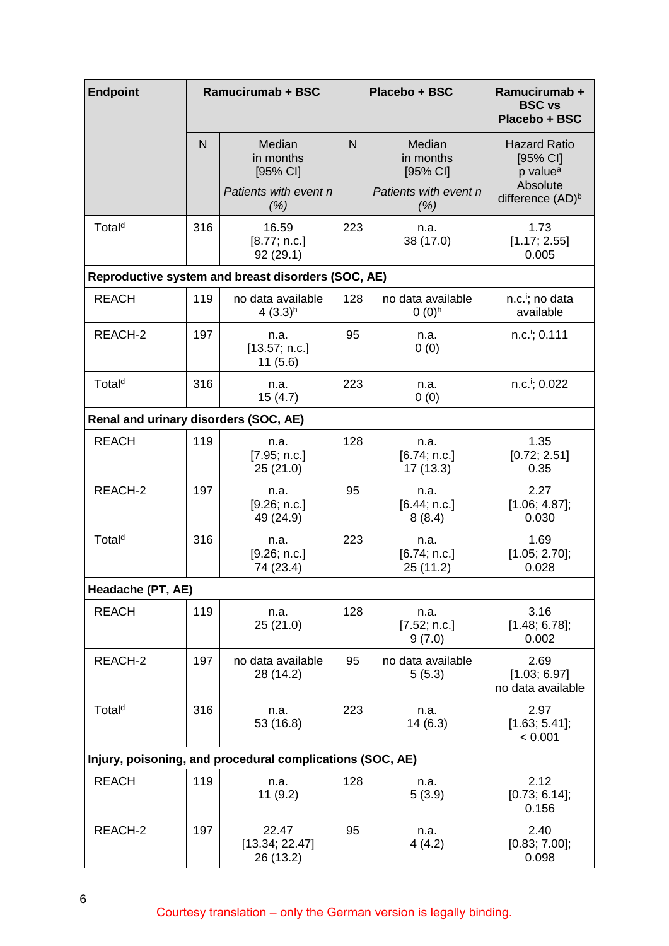| <b>Endpoint</b>                       |                                                                       | <b>Ramucirumab + BSC</b>                                      | Placebo + BSC       |                                          | Ramucirumab +<br><b>BSC vs</b><br>Placebo + BSC                     |  |
|---------------------------------------|-----------------------------------------------------------------------|---------------------------------------------------------------|---------------------|------------------------------------------|---------------------------------------------------------------------|--|
|                                       | $\overline{N}$                                                        | Median<br>in months<br>$[95%$ CI]                             | N                   | Median<br>in months<br>$[95%$ CI]        | <b>Hazard Ratio</b><br>[95% CI]<br>p value <sup>a</sup><br>Absolute |  |
|                                       |                                                                       | Patients with event n<br>(% )                                 |                     | Patients with event n<br>(% )            | difference (AD) <sup>b</sup>                                        |  |
| Total <sup>d</sup>                    | 316                                                                   | 223<br>16.59<br>n.a.<br>38 (17.0)<br>[8.77; n.c.]<br>92(29.1) |                     | 1.73<br>[1.17; 2.55]<br>0.005            |                                                                     |  |
|                                       |                                                                       | Reproductive system and breast disorders (SOC, AE)            |                     |                                          |                                                                     |  |
| <b>REACH</b>                          | 119<br>128<br>no data available<br>4 $(3.3)$ <sup>h</sup><br>$0(0)^h$ |                                                               | no data available   | n.c. <sup>i</sup> ; no data<br>available |                                                                     |  |
| REACH-2                               | 197<br>95<br>n.a.<br>[13.57; n.c.]<br>11(5.6)                         |                                                               | n.a.<br>0(0)        | $n.c.$ <sup>i</sup> ; 0.111              |                                                                     |  |
| Total <sup>d</sup>                    | 316                                                                   | n.a.<br>15(4.7)                                               | 223<br>n.a.<br>0(0) |                                          | n.c. <sup>i</sup> ; 0.022                                           |  |
| Renal and urinary disorders (SOC, AE) |                                                                       |                                                               |                     |                                          |                                                                     |  |
| <b>REACH</b><br>119                   |                                                                       | n.a.<br>[7.95; n.c.]<br>25(21.0)                              | 128                 | n.a.<br>[6.74; n.c.]<br>17 (13.3)        | 1.35<br>[0.72; 2.51]<br>0.35                                        |  |
| REACH-2<br>197                        |                                                                       | n.a.<br>[9.26; n.c.]<br>49 (24.9)                             | 95                  | n.a.<br>[6.44; n.c.]<br>8(8.4)           | 2.27<br>[1.06; 4.87];<br>0.030                                      |  |
| Total <sup>d</sup>                    | 316                                                                   | n.a.<br>[9.26; n.c.]<br>74 (23.4)                             | 223                 | n.a.<br>[6.74; n.c.]<br>25(11.2)         | 1.69<br>[1.05; 2.70];<br>0.028                                      |  |
| Headache (PT, AE)                     |                                                                       |                                                               |                     |                                          |                                                                     |  |
| <b>REACH</b>                          | 119                                                                   | n.a.<br>25(21.0)                                              | 128                 | n.a.<br>[7.52; n.c.]<br>9(7.0)           | 3.16<br>[1.48; 6.78];<br>0.002                                      |  |
| REACH-2                               | 197                                                                   | no data available<br>28 (14.2)                                | 95                  | no data available<br>5(5.3)              | 2.69<br>[1.03; 6.97]<br>no data available                           |  |
| Total <sup>d</sup>                    | 316                                                                   | n.a.<br>53 (16.8)                                             | 223                 | n.a.<br>14(6.3)                          | 2.97<br>$[1.63; 5.41]$ ;<br>< 0.001                                 |  |
|                                       |                                                                       | Injury, poisoning, and procedural complications (SOC, AE)     |                     |                                          |                                                                     |  |
| <b>REACH</b>                          | 119                                                                   | n.a.<br>11(9.2)                                               | 128                 | n.a.<br>5(3.9)                           | 2.12<br>$[0.73; 6.14]$ ;<br>0.156                                   |  |
| REACH-2                               | 197                                                                   | 22.47<br>[13.34; 22.47]<br>26 (13.2)                          | 95                  | n.a.<br>4(4.2)                           | 2.40<br>[0.83; 7.00];<br>0.098                                      |  |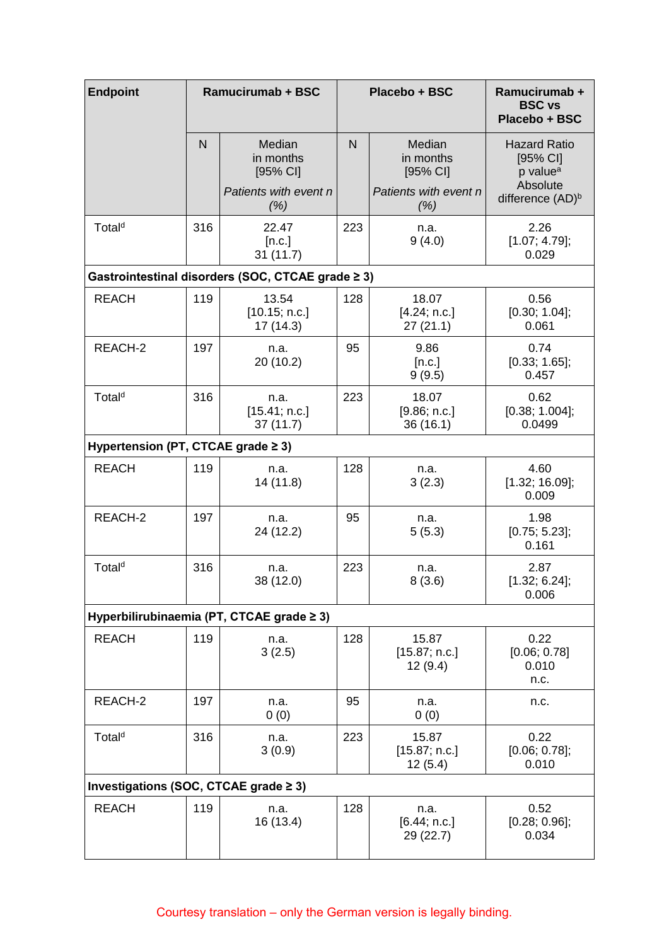| <b>Endpoint</b>                       |                                 | <b>Ramucirumab + BSC</b>                                                      |                      | Placebo + BSC                      | Ramucirumab +<br><b>BSC vs</b><br>Placebo + BSC                       |  |
|---------------------------------------|---------------------------------|-------------------------------------------------------------------------------|----------------------|------------------------------------|-----------------------------------------------------------------------|--|
|                                       | $\overline{N}$                  | Median<br>in months<br>[95% CI]                                               | $\overline{N}$       | Median<br>in months<br>[95% CI]    | <b>Hazard Ratio</b><br>$[95%$ CI]<br>p value <sup>a</sup><br>Absolute |  |
|                                       |                                 | Patients with event n<br>(% )                                                 |                      | Patients with event n<br>(% )      | difference (AD) <sup>b</sup>                                          |  |
| Total <sup>d</sup>                    | 316                             | 22.47<br>[n.c.]<br>31(11.7)                                                   | 223                  | n.a.<br>9(4.0)                     | 2.26<br>[1.07; 4.79];<br>0.029                                        |  |
|                                       |                                 | Gastrointestinal disorders (SOC, CTCAE grade ≥ 3)                             |                      |                                    |                                                                       |  |
| <b>REACH</b>                          | 119                             | 13.54<br>[10.15; n.c.]<br>17(14.3)                                            | 128                  | 18.07<br>[4.24; n.c.]<br>27(21.1)  | 0.56<br>$[0.30; 1.04]$ ;<br>0.061                                     |  |
| REACH-2                               | 197                             | n.a.<br>20 (10.2)                                                             | 95                   | 9.86<br>[n.c.]<br>9(9.5)           | 0.74<br>[0.33; 1.65];<br>0.457                                        |  |
| Total <sup>d</sup>                    | 316                             | 223<br>18.07<br>n.a.<br>[15.41; n.c.]<br>[9.86; n.c.]<br>36(16.1)<br>37(11.7) |                      |                                    | 0.62<br>[0.38; 1.004];<br>0.0499                                      |  |
| Hypertension (PT, CTCAE grade ≥ 3)    |                                 |                                                                               |                      |                                    |                                                                       |  |
| <b>REACH</b>                          | 119<br>128<br>n.a.<br>14 (11.8) |                                                                               |                      | n.a.<br>3(2.3)                     | 4.60<br>$[1.32; 16.09]$ ;<br>0.009                                    |  |
| REACH-2                               | 197                             | n.a.<br>24 (12.2)                                                             | 95<br>n.a.<br>5(5.3) |                                    | 1.98<br>$[0.75; 5.23]$ ;<br>0.161                                     |  |
| Total <sup>d</sup>                    | 316                             | n.a.<br>38 (12.0)                                                             | 223                  | n.a.<br>8(3.6)                     | 2.87<br>$[1.32; 6.24]$ ;<br>0.006                                     |  |
|                                       |                                 | Hyperbilirubinaemia (PT, CTCAE grade ≥ 3)                                     |                      |                                    |                                                                       |  |
| <b>REACH</b>                          | 119                             | n.a.<br>3(2.5)                                                                | 128                  | 15.87<br>[15.87; n.c.]<br>12 (9.4) | 0.22<br>[0.06; 0.78]<br>0.010<br>n.c.                                 |  |
| REACH-2                               | 197                             | n.a.<br>0(0)                                                                  | 95                   | n.a.<br>0(0)                       | n.c.                                                                  |  |
| Total <sup>d</sup>                    | 316                             | n.a.<br>3(0.9)                                                                | 223                  | 15.87<br>[15.87; n.c.]<br>12(5.4)  | 0.22<br>$[0.06; 0.78]$ ;<br>0.010                                     |  |
| Investigations (SOC, CTCAE grade ≥ 3) |                                 |                                                                               |                      |                                    |                                                                       |  |
| <b>REACH</b>                          | 119                             | n.a.<br>16 (13.4)                                                             | 128                  | n.a.<br>[6.44; n.c.]<br>29 (22.7)  | 0.52<br>[0.28; 0.96];<br>0.034                                        |  |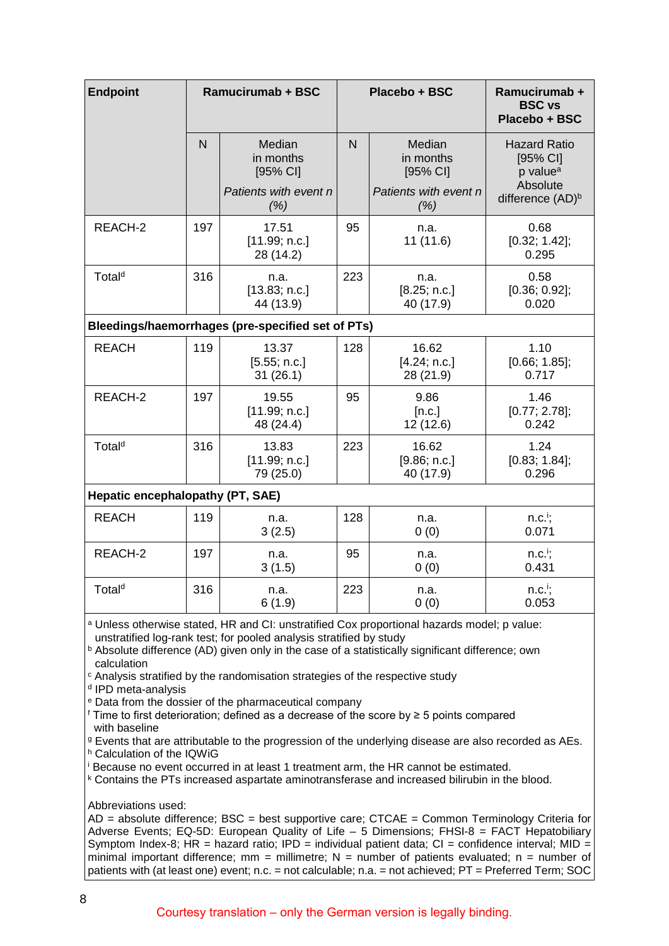| <b>Endpoint</b>                                                                                                                                                                                                                                                                                                                                                                                                                                                                                                                                                                                                                                                                                                                                                                                                                                                                                                                                                                             |              | Ramucirumab + BSC                                                  | Placebo + BSC |                                                                    | Ramucirumab +<br><b>BSC vs</b><br>Placebo + BSC                                                       |  |  |
|---------------------------------------------------------------------------------------------------------------------------------------------------------------------------------------------------------------------------------------------------------------------------------------------------------------------------------------------------------------------------------------------------------------------------------------------------------------------------------------------------------------------------------------------------------------------------------------------------------------------------------------------------------------------------------------------------------------------------------------------------------------------------------------------------------------------------------------------------------------------------------------------------------------------------------------------------------------------------------------------|--------------|--------------------------------------------------------------------|---------------|--------------------------------------------------------------------|-------------------------------------------------------------------------------------------------------|--|--|
|                                                                                                                                                                                                                                                                                                                                                                                                                                                                                                                                                                                                                                                                                                                                                                                                                                                                                                                                                                                             | $\mathsf{N}$ | Median<br>in months<br>$[95%$ CI]<br>Patients with event n<br>(% ) | $\mathsf{N}$  | Median<br>in months<br>$[95%$ CI]<br>Patients with event n<br>(% ) | <b>Hazard Ratio</b><br>$[95%$ CI]<br>p value <sup>a</sup><br>Absolute<br>difference (AD) <sup>b</sup> |  |  |
| REACH-2                                                                                                                                                                                                                                                                                                                                                                                                                                                                                                                                                                                                                                                                                                                                                                                                                                                                                                                                                                                     | 197          | 17.51<br>[11.99; n.c.]<br>28 (14.2)                                | 95            | n.a.<br>11 (11.6)                                                  | 0.68<br>[0.32; 1.42];<br>0.295                                                                        |  |  |
| Total <sup>d</sup>                                                                                                                                                                                                                                                                                                                                                                                                                                                                                                                                                                                                                                                                                                                                                                                                                                                                                                                                                                          | 316          | n.a.<br>[13.83; n.c.]<br>44 (13.9)                                 | 223           | n.a.<br>[8.25; n.c.]<br>40 (17.9)                                  | 0.58<br>$[0.36; 0.92]$ ;<br>0.020                                                                     |  |  |
| Bleedings/haemorrhages (pre-specified set of PTs)                                                                                                                                                                                                                                                                                                                                                                                                                                                                                                                                                                                                                                                                                                                                                                                                                                                                                                                                           |              |                                                                    |               |                                                                    |                                                                                                       |  |  |
| <b>REACH</b>                                                                                                                                                                                                                                                                                                                                                                                                                                                                                                                                                                                                                                                                                                                                                                                                                                                                                                                                                                                | 119          | 13.37<br>[5.55; n.c.]<br>31(26.1)                                  | 128           | 16.62<br>[4.24; n.c.]<br>28 (21.9)                                 | 1.10<br>[0.66; 1.85];<br>0.717                                                                        |  |  |
| REACH-2                                                                                                                                                                                                                                                                                                                                                                                                                                                                                                                                                                                                                                                                                                                                                                                                                                                                                                                                                                                     | 197          | 19.55<br>[11.99; n.c.]<br>48 (24.4)                                | 95            | 9.86<br>[n.c.]<br>12 (12.6)                                        | 1.46<br>$[0.77; 2.78]$ ;<br>0.242                                                                     |  |  |
| Total <sup>d</sup>                                                                                                                                                                                                                                                                                                                                                                                                                                                                                                                                                                                                                                                                                                                                                                                                                                                                                                                                                                          | 316          | 13.83<br>[11.99; n.c.]<br>79 (25.0)                                | 223           | 16.62<br>[9.86; n.c.]<br>40 (17.9)                                 | 1.24<br>$[0.83; 1.84]$ ;<br>0.296                                                                     |  |  |
| Hepatic encephalopathy (PT, SAE)                                                                                                                                                                                                                                                                                                                                                                                                                                                                                                                                                                                                                                                                                                                                                                                                                                                                                                                                                            |              |                                                                    |               |                                                                    |                                                                                                       |  |  |
| <b>REACH</b>                                                                                                                                                                                                                                                                                                                                                                                                                                                                                                                                                                                                                                                                                                                                                                                                                                                                                                                                                                                | 119          | n.a.<br>3(2.5)                                                     | 128           | n.a.<br>0(0)                                                       | $n.c.'$ ;<br>0.071                                                                                    |  |  |
| REACH-2                                                                                                                                                                                                                                                                                                                                                                                                                                                                                                                                                                                                                                                                                                                                                                                                                                                                                                                                                                                     | 197          | n.a.<br>3(1.5)                                                     | 95            | n.a.<br>0(0)                                                       | $n.c.'$ ;<br>0.431                                                                                    |  |  |
| Total <sup>d</sup>                                                                                                                                                                                                                                                                                                                                                                                                                                                                                                                                                                                                                                                                                                                                                                                                                                                                                                                                                                          | 316          | n.a.<br>6(1.9)                                                     | 223           | n.a.<br>0(0)                                                       | $n.c.'$ ;<br>0.053                                                                                    |  |  |
| a Unless otherwise stated, HR and CI: unstratified Cox proportional hazards model; p value:<br>unstratified log-rank test; for pooled analysis stratified by study<br>b Absolute difference (AD) given only in the case of a statistically significant difference; own<br>calculation<br><sup>c</sup> Analysis stratified by the randomisation strategies of the respective study<br><sup>d</sup> IPD meta-analysis<br><sup>e</sup> Data from the dossier of the pharmaceutical company<br><i>f</i> Time to first deterioration; defined as a decrease of the score by $\geq$ 5 points compared<br>with baseline<br><sup>9</sup> Events that are attributable to the progression of the underlying disease are also recorded as AEs.<br>h Calculation of the IQWiG<br>Because no event occurred in at least 1 treatment arm, the HR cannot be estimated.<br><sup>k</sup> Contains the PTs increased aspartate aminotransferase and increased bilirubin in the blood.<br>Abbreviations used: |              |                                                                    |               |                                                                    |                                                                                                       |  |  |

 $AD =$  absolute difference; BSC = best supportive care; CTCAE = Common Terminology Criteria for Adverse Events; EQ-5D: European Quality of Life – 5 Dimensions; FHSI-8 = FACT Hepatobiliary Symptom Index-8; HR = hazard ratio; IPD = individual patient data;  $CI =$  confidence interval; MID = minimal important difference; mm = millimetre;  $N =$  number of patients evaluated; n = number of patients with (at least one) event; n.c. = not calculable; n.a. = not achieved; PT = Preferred Term; SOC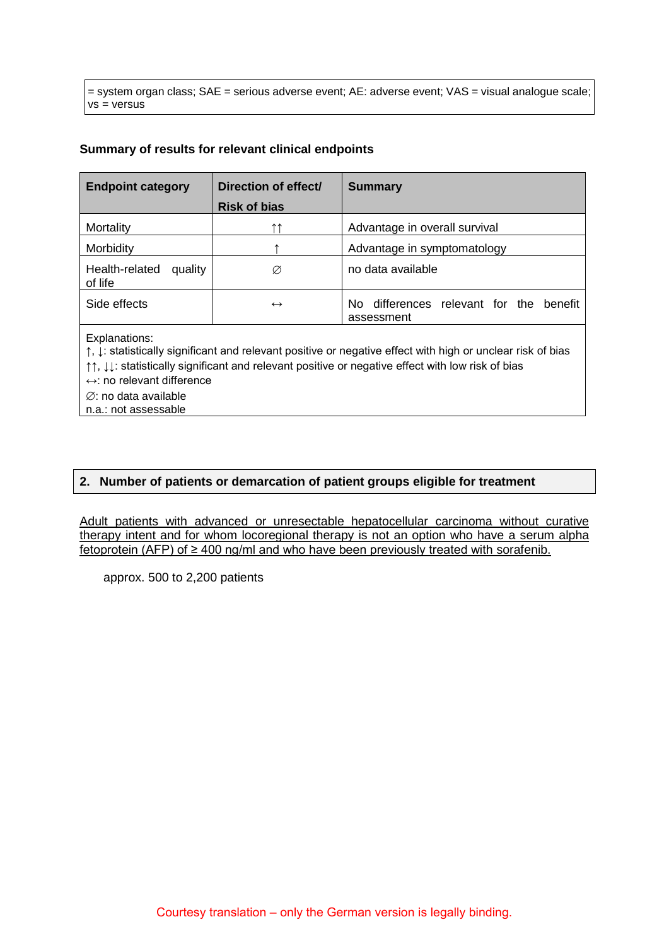= system organ class; SAE = serious adverse event; AE: adverse event; VAS = visual analogue scale; vs = versus

### **Summary of results for relevant clinical endpoints**

| <b>Endpoint category</b>             | Direction of effect/ | <b>Summary</b>                                            |
|--------------------------------------|----------------------|-----------------------------------------------------------|
|                                      | <b>Risk of bias</b>  |                                                           |
| Mortality                            | ተ ተ                  | Advantage in overall survival                             |
| Morbidity                            |                      | Advantage in symptomatology                               |
| Health-related<br>quality<br>of life | Ø                    | no data available                                         |
| Side effects                         | $\leftrightarrow$    | differences relevant for the benefit<br>No.<br>assessment |
|                                      |                      |                                                           |

Explanations:

↑, ↓: statistically significant and relevant positive or negative effect with high or unclear risk of bias

↑↑, ↓↓: statistically significant and relevant positive or negative effect with low risk of bias

↔: no relevant difference

∅: no data available

n.a.: not assessable

### **2. Number of patients or demarcation of patient groups eligible for treatment**

Adult patients with advanced or unresectable hepatocellular carcinoma without curative therapy intent and for whom locoregional therapy is not an option who have a serum alpha fetoprotein (AFP) of ≥ 400 ng/ml and who have been previously treated with sorafenib.

approx. 500 to 2,200 patients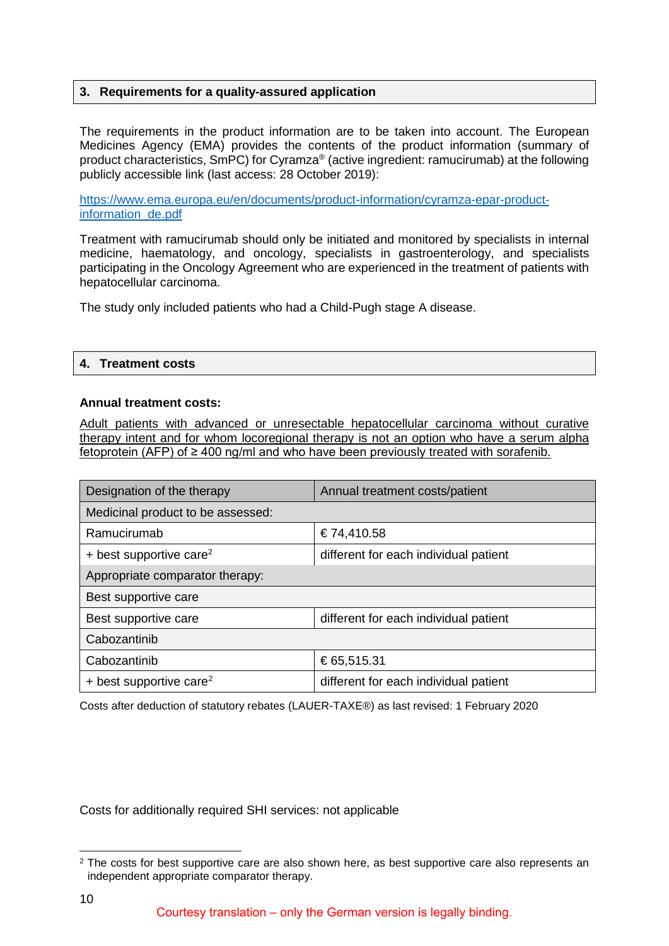### **3. Requirements for a quality-assured application**

The requirements in the product information are to be taken into account. The European Medicines Agency (EMA) provides the contents of the product information (summary of product characteristics, SmPC) for Cyramza® (active ingredient: ramucirumab) at the following publicly accessible link (last access: 28 October 2019):

[https://www.ema.europa.eu/en/documents/product-information/cyramza-epar-product](https://www.ema.europa.eu/en/documents/product-information/cyramza-epar-product-information_de.pdf)[information\\_de.pdf](https://www.ema.europa.eu/en/documents/product-information/cyramza-epar-product-information_de.pdf)

Treatment with ramucirumab should only be initiated and monitored by specialists in internal medicine, haematology, and oncology, specialists in gastroenterology, and specialists participating in the Oncology Agreement who are experienced in the treatment of patients with hepatocellular carcinoma.

The study only included patients who had a Child-Pugh stage A disease.

### **4. Treatment costs**

### **Annual treatment costs:**

Adult patients with advanced or unresectable hepatocellular carcinoma without curative therapy intent and for whom locoregional therapy is not an option who have a serum alpha fetoprotein (AFP) of ≥ 400 ng/ml and who have been previously treated with sorafenib.

| Designation of the therapy          | Annual treatment costs/patient        |  |  |  |  |
|-------------------------------------|---------------------------------------|--|--|--|--|
| Medicinal product to be assessed:   |                                       |  |  |  |  |
| Ramucirumab                         | €74,410.58                            |  |  |  |  |
| + best supportive care <sup>2</sup> | different for each individual patient |  |  |  |  |
| Appropriate comparator therapy:     |                                       |  |  |  |  |
| Best supportive care                |                                       |  |  |  |  |
| Best supportive care                | different for each individual patient |  |  |  |  |
| Cabozantinib                        |                                       |  |  |  |  |
| Cabozantinib                        | €65,515.31                            |  |  |  |  |
| + best supportive care <sup>2</sup> | different for each individual patient |  |  |  |  |

Costs after deduction of statutory rebates (LAUER-TAXE®) as last revised: 1 February 2020

Costs for additionally required SHI services: not applicable

<span id="page-9-0"></span><sup>&</sup>lt;sup>2</sup> The costs for best supportive care are also shown here, as best supportive care also represents an independent appropriate comparator therapy.